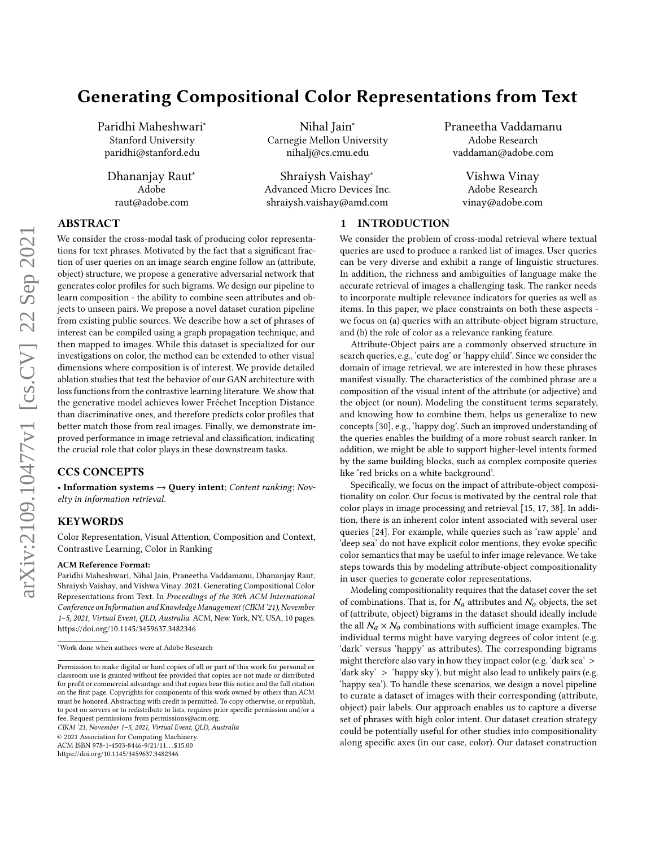# Generating Compositional Color Representations from Text

Paridhi Maheshwari<sup>∗</sup> Stanford University paridhi@stanford.edu

Dhananjay Raut<sup>∗</sup> Adobe raut@adobe.com

Nihal Jain<sup>∗</sup> Carnegie Mellon University nihalj@cs.cmu.edu

Shraiysh Vaishay<sup>∗</sup> Advanced Micro Devices Inc. shraiysh.vaishay@amd.com

Praneetha Vaddamanu Adobe Research vaddaman@adobe.com

> Vishwa Vinay Adobe Research vinay@adobe.com

# ABSTRACT

We consider the cross-modal task of producing color representations for text phrases. Motivated by the fact that a significant fraction of user queries on an image search engine follow an (attribute, object) structure, we propose a generative adversarial network that generates color profiles for such bigrams. We design our pipeline to learn composition - the ability to combine seen attributes and objects to unseen pairs. We propose a novel dataset curation pipeline from existing public sources. We describe how a set of phrases of interest can be compiled using a graph propagation technique, and then mapped to images. While this dataset is specialized for our investigations on color, the method can be extended to other visual dimensions where composition is of interest. We provide detailed ablation studies that test the behavior of our GAN architecture with loss functions from the contrastive learning literature. We show that the generative model achieves lower Fréchet Inception Distance than discriminative ones, and therefore predicts color profiles that better match those from real images. Finally, we demonstrate improved performance in image retrieval and classification, indicating the crucial role that color plays in these downstream tasks.

# CCS CONCEPTS

• Information systems  $\rightarrow$  Query intent; Content ranking; Novelty in information retrieval.

# KEYWORDS

Color Representation, Visual Attention, Composition and Context, Contrastive Learning, Color in Ranking

#### ACM Reference Format:

Paridhi Maheshwari, Nihal Jain, Praneetha Vaddamanu, Dhananjay Raut, Shraiysh Vaishay, and Vishwa Vinay. 2021. Generating Compositional Color Representations from Text. In Proceedings of the 30th ACM International Conference on Information and Knowledge Management (CIKM '21), November 1–5, 2021, Virtual Event, QLD, Australia. ACM, New York, NY, USA, [10](#page-9-0) pages. <https://doi.org/10.1145/3459637.3482346>

CIKM '21, November 1–5, 2021, Virtual Event, QLD, Australia

© 2021 Association for Computing Machinery.

ACM ISBN 978-1-4503-8446-9/21/11...\$15.00

<https://doi.org/10.1145/3459637.3482346>

# 1 INTRODUCTION

We consider the problem of cross-modal retrieval where textual queries are used to produce a ranked list of images. User queries can be very diverse and exhibit a range of linguistic structures. In addition, the richness and ambiguities of language make the accurate retrieval of images a challenging task. The ranker needs to incorporate multiple relevance indicators for queries as well as items. In this paper, we place constraints on both these aspects we focus on (a) queries with an attribute-object bigram structure, and (b) the role of color as a relevance ranking feature.

Attribute-Object pairs are a commonly observed structure in search queries, e.g., 'cute dog' or 'happy child'. Since we consider the domain of image retrieval, we are interested in how these phrases manifest visually. The characteristics of the combined phrase are a composition of the visual intent of the attribute (or adjective) and the object (or noun). Modeling the constituent terms separately, and knowing how to combine them, helps us generalize to new concepts [\[30\]](#page-9-1), e.g., 'happy dog'. Such an improved understanding of the queries enables the building of a more robust search ranker. In addition, we might be able to support higher-level intents formed by the same building blocks, such as complex composite queries like 'red bricks on a white background'.

Specifically, we focus on the impact of attribute-object compositionality on color. Our focus is motivated by the central role that color plays in image processing and retrieval [\[15,](#page-9-2) [17,](#page-9-3) [38\]](#page-9-4). In addition, there is an inherent color intent associated with several user queries [\[24\]](#page-9-5). For example, while queries such as 'raw apple' and 'deep sea' do not have explicit color mentions, they evoke specific color semantics that may be useful to infer image relevance. We take steps towards this by modeling attribute-object compositionality in user queries to generate color representations.

Modeling compositionality requires that the dataset cover the set of combinations. That is, for  $\mathcal{N}_a$  attributes and  $\mathcal{N}_o$  objects, the set of (attribute, object) bigrams in the dataset should ideally include the all  $N_a \times N_o$  combinations with sufficient image examples. The individual terms might have varying degrees of color intent (e.g. 'dark' versus 'happy' as attributes). The corresponding bigrams might therefore also vary in how they impact color (e.g. 'dark sea' > 'dark sky' > 'happy sky'), but might also lead to unlikely pairs (e.g. 'happy sea'). To handle these scenarios, we design a novel pipeline to curate a dataset of images with their corresponding (attribute, object) pair labels. Our approach enables us to capture a diverse set of phrases with high color intent. Our dataset creation strategy could be potentially useful for other studies into compositionality along specific axes (in our case, color). Our dataset construction

<sup>∗</sup>Work done when authors were at Adobe Research

Permission to make digital or hard copies of all or part of this work for personal or classroom use is granted without fee provided that copies are not made or distributed for profit or commercial advantage and that copies bear this notice and the full citation on the first page. Copyrights for components of this work owned by others than ACM must be honored. Abstracting with credit is permitted. To copy otherwise, or republish, to post on servers or to redistribute to lists, requires prior specific permission and/or a fee. Request permissions from permissions@acm.org.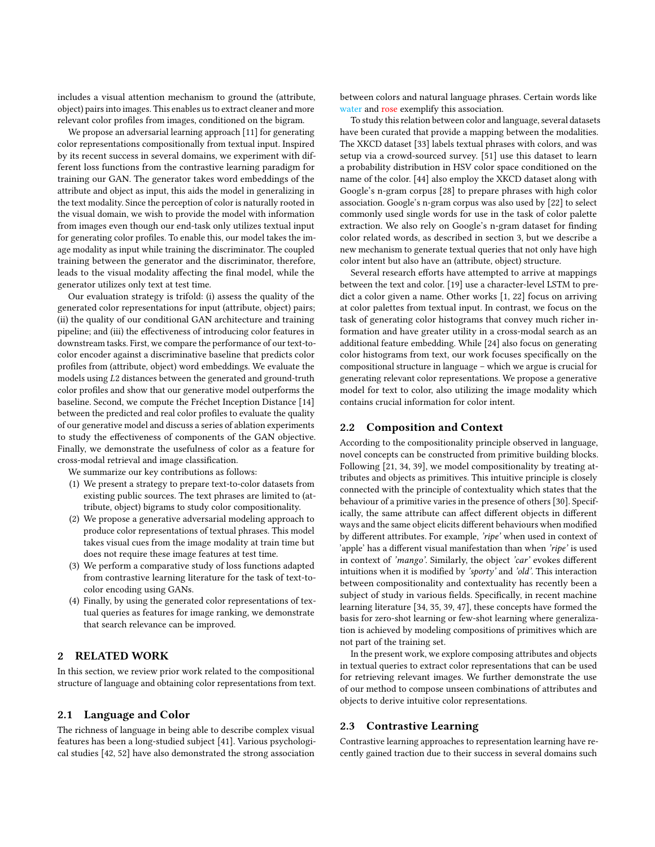includes a visual attention mechanism to ground the (attribute, object) pairs into images. This enables us to extract cleaner and more relevant color profiles from images, conditioned on the bigram.

We propose an adversarial learning approach [\[11\]](#page-9-6) for generating color representations compositionally from textual input. Inspired by its recent success in several domains, we experiment with different loss functions from the contrastive learning paradigm for training our GAN. The generator takes word embeddings of the attribute and object as input, this aids the model in generalizing in the text modality. Since the perception of color is naturally rooted in the visual domain, we wish to provide the model with information from images even though our end-task only utilizes textual input for generating color profiles. To enable this, our model takes the image modality as input while training the discriminator. The coupled training between the generator and the discriminator, therefore, leads to the visual modality affecting the final model, while the generator utilizes only text at test time.

Our evaluation strategy is trifold: (i) assess the quality of the generated color representations for input (attribute, object) pairs; (ii) the quality of our conditional GAN architecture and training pipeline; and (iii) the effectiveness of introducing color features in downstream tasks. First, we compare the performance of our text-tocolor encoder against a discriminative baseline that predicts color profiles from (attribute, object) word embeddings. We evaluate the models using L2 distances between the generated and ground-truth color profiles and show that our generative model outperforms the baseline. Second, we compute the Fréchet Inception Distance [\[14\]](#page-9-7) between the predicted and real color profiles to evaluate the quality of our generative model and discuss a series of ablation experiments to study the effectiveness of components of the GAN objective. Finally, we demonstrate the usefulness of color as a feature for cross-modal retrieval and image classification.

We summarize our key contributions as follows:

- (1) We present a strategy to prepare text-to-color datasets from existing public sources. The text phrases are limited to (attribute, object) bigrams to study color compositionality.
- (2) We propose a generative adversarial modeling approach to produce color representations of textual phrases. This model takes visual cues from the image modality at train time but does not require these image features at test time.
- (3) We perform a comparative study of loss functions adapted from contrastive learning literature for the task of text-tocolor encoding using GANs.
- (4) Finally, by using the generated color representations of textual queries as features for image ranking, we demonstrate that search relevance can be improved.

# 2 RELATED WORK

In this section, we review prior work related to the compositional structure of language and obtaining color representations from text.

# 2.1 Language and Color

The richness of language in being able to describe complex visual features has been a long-studied subject [\[41\]](#page-9-8). Various psychological studies [\[42,](#page-9-9) [52\]](#page-9-10) have also demonstrated the strong association

between colors and natural language phrases. Certain words like water and rose exemplify this association.

To study this relation between color and language, several datasets have been curated that provide a mapping between the modalities. The XKCD dataset [\[33\]](#page-9-11) labels textual phrases with colors, and was setup via a crowd-sourced survey. [\[51\]](#page-9-12) use this dataset to learn a probability distribution in HSV color space conditioned on the name of the color. [\[44\]](#page-9-13) also employ the XKCD dataset along with Google's n-gram corpus [\[28\]](#page-9-14) to prepare phrases with high color association. Google's n-gram corpus was also used by [\[22\]](#page-9-15) to select commonly used single words for use in the task of color palette extraction. We also rely on Google's n-gram dataset for finding color related words, as described in section [3,](#page-2-0) but we describe a new mechanism to generate textual queries that not only have high color intent but also have an (attribute, object) structure.

Several research efforts have attempted to arrive at mappings between the text and color. [\[19\]](#page-9-16) use a character-level LSTM to predict a color given a name. Other works [\[1,](#page-9-17) [22\]](#page-9-15) focus on arriving at color palettes from textual input. In contrast, we focus on the task of generating color histograms that convey much richer information and have greater utility in a cross-modal search as an additional feature embedding. While [\[24\]](#page-9-5) also focus on generating color histograms from text, our work focuses specifically on the compositional structure in language – which we argue is crucial for generating relevant color representations. We propose a generative model for text to color, also utilizing the image modality which contains crucial information for color intent.

# 2.2 Composition and Context

According to the compositionality principle observed in language, novel concepts can be constructed from primitive building blocks. Following [\[21,](#page-9-18) [34,](#page-9-19) [39\]](#page-9-20), we model compositionality by treating attributes and objects as primitives. This intuitive principle is closely connected with the principle of contextuality which states that the behaviour of a primitive varies in the presence of others [\[30\]](#page-9-1). Specifically, the same attribute can affect different objects in different ways and the same object elicits different behaviours when modified by different attributes. For example, 'ripe' when used in context of 'apple' has a different visual manifestation than when 'ripe' is used in context of 'mango'. Similarly, the object 'car' evokes different intuitions when it is modified by 'sporty' and 'old'. This interaction between compositionality and contextuality has recently been a subject of study in various fields. Specifically, in recent machine learning literature [\[34,](#page-9-19) [35,](#page-9-21) [39,](#page-9-20) [47\]](#page-9-22), these concepts have formed the basis for zero-shot learning or few-shot learning where generalization is achieved by modeling compositions of primitives which are not part of the training set.

In the present work, we explore composing attributes and objects in textual queries to extract color representations that can be used for retrieving relevant images. We further demonstrate the use of our method to compose unseen combinations of attributes and objects to derive intuitive color representations.

#### 2.3 Contrastive Learning

Contrastive learning approaches to representation learning have recently gained traction due to their success in several domains such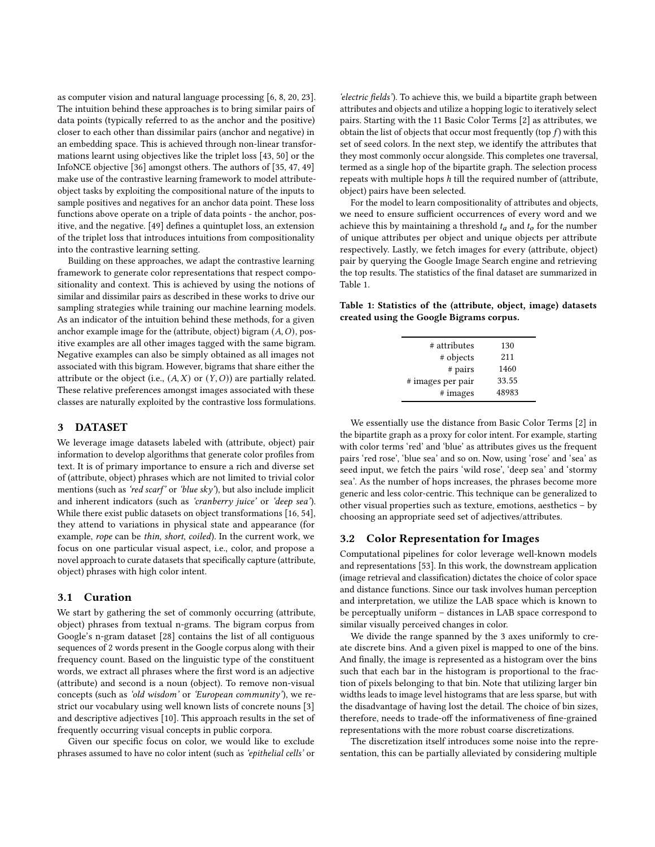as computer vision and natural language processing [\[6,](#page-9-23) [8,](#page-9-24) [20,](#page-9-25) [23\]](#page-9-26). The intuition behind these approaches is to bring similar pairs of data points (typically referred to as the anchor and the positive) closer to each other than dissimilar pairs (anchor and negative) in an embedding space. This is achieved through non-linear transformations learnt using objectives like the triplet loss [\[43,](#page-9-27) [50\]](#page-9-28) or the InfoNCE objective [\[36\]](#page-9-29) amongst others. The authors of [\[35,](#page-9-21) [47,](#page-9-22) [49\]](#page-9-30) make use of the contrastive learning framework to model attributeobject tasks by exploiting the compositional nature of the inputs to sample positives and negatives for an anchor data point. These loss functions above operate on a triple of data points - the anchor, positive, and the negative. [\[49\]](#page-9-30) defines a quintuplet loss, an extension of the triplet loss that introduces intuitions from compositionality into the contrastive learning setting.

Building on these approaches, we adapt the contrastive learning framework to generate color representations that respect compositionality and context. This is achieved by using the notions of similar and dissimilar pairs as described in these works to drive our sampling strategies while training our machine learning models. As an indicator of the intuition behind these methods, for a given anchor example image for the (attribute, object) bigram  $(A, O)$ , positive examples are all other images tagged with the same bigram. Negative examples can also be simply obtained as all images not associated with this bigram. However, bigrams that share either the attribute or the object (i.e.,  $(A, X)$  or  $(Y, O)$ ) are partially related. These relative preferences amongst images associated with these classes are naturally exploited by the contrastive loss formulations.

#### <span id="page-2-0"></span>3 DATASET

We leverage image datasets labeled with (attribute, object) pair information to develop algorithms that generate color profiles from text. It is of primary importance to ensure a rich and diverse set of (attribute, object) phrases which are not limited to trivial color mentions (such as 'red scarf' or 'blue sky'), but also include implicit and inherent indicators (such as 'cranberry juice' or 'deep sea'). While there exist public datasets on object transformations [\[16,](#page-9-31) [54\]](#page-9-32), they attend to variations in physical state and appearance (for example, rope can be thin, short, coiled). In the current work, we focus on one particular visual aspect, i.e., color, and propose a novel approach to curate datasets that specifically capture (attribute, object) phrases with high color intent.

#### 3.1 Curation

We start by gathering the set of commonly occurring (attribute, object) phrases from textual n-grams. The bigram corpus from Google's n-gram dataset [\[28\]](#page-9-14) contains the list of all contiguous sequences of 2 words present in the Google corpus along with their frequency count. Based on the linguistic type of the constituent words, we extract all phrases where the first word is an adjective (attribute) and second is a noun (object). To remove non-visual concepts (such as 'old wisdom' or 'European community'), we restrict our vocabulary using well known lists of concrete nouns [\[3\]](#page-9-33) and descriptive adjectives [\[10\]](#page-9-34). This approach results in the set of frequently occurring visual concepts in public corpora.

Given our specific focus on color, we would like to exclude phrases assumed to have no color intent (such as 'epithelial cells' or

'electric fields'). To achieve this, we build a bipartite graph between attributes and objects and utilize a hopping logic to iteratively select pairs. Starting with the 11 Basic Color Terms [\[2\]](#page-9-35) as attributes, we obtain the list of objects that occur most frequently (top  $f$ ) with this set of seed colors. In the next step, we identify the attributes that they most commonly occur alongside. This completes one traversal, termed as a single hop of the bipartite graph. The selection process repeats with multiple hops  $h$  till the required number of (attribute, object) pairs have been selected.

For the model to learn compositionality of attributes and objects, we need to ensure sufficient occurrences of every word and we achieve this by maintaining a threshold  $t_a$  and  $t_b$  for the number of unique attributes per object and unique objects per attribute respectively. Lastly, we fetch images for every (attribute, object) pair by querying the Google Image Search engine and retrieving the top results. The statistics of the final dataset are summarized in Table [1.](#page-2-1)

<span id="page-2-1"></span>Table 1: Statistics of the (attribute, object, image) datasets created using the Google Bigrams corpus.

| # attributes      | 130   |
|-------------------|-------|
| # objects         | 211   |
| # pairs           | 1460  |
| # images per pair | 33.55 |
| # images          | 48983 |
|                   |       |

We essentially use the distance from Basic Color Terms [\[2\]](#page-9-35) in the bipartite graph as a proxy for color intent. For example, starting with color terms 'red' and 'blue' as attributes gives us the frequent pairs 'red rose', 'blue sea' and so on. Now, using 'rose' and 'sea' as seed input, we fetch the pairs 'wild rose', 'deep sea' and 'stormy sea'. As the number of hops increases, the phrases become more generic and less color-centric. This technique can be generalized to other visual properties such as texture, emotions, aesthetics – by choosing an appropriate seed set of adjectives/attributes.

# 3.2 Color Representation for Images

Computational pipelines for color leverage well-known models and representations [\[53\]](#page-9-36). In this work, the downstream application (image retrieval and classification) dictates the choice of color space and distance functions. Since our task involves human perception and interpretation, we utilize the LAB space which is known to be perceptually uniform – distances in LAB space correspond to similar visually perceived changes in color.

We divide the range spanned by the 3 axes uniformly to create discrete bins. And a given pixel is mapped to one of the bins. And finally, the image is represented as a histogram over the bins such that each bar in the histogram is proportional to the fraction of pixels belonging to that bin. Note that utilizing larger bin widths leads to image level histograms that are less sparse, but with the disadvantage of having lost the detail. The choice of bin sizes, therefore, needs to trade-off the informativeness of fine-grained representations with the more robust coarse discretizations.

The discretization itself introduces some noise into the representation, this can be partially alleviated by considering multiple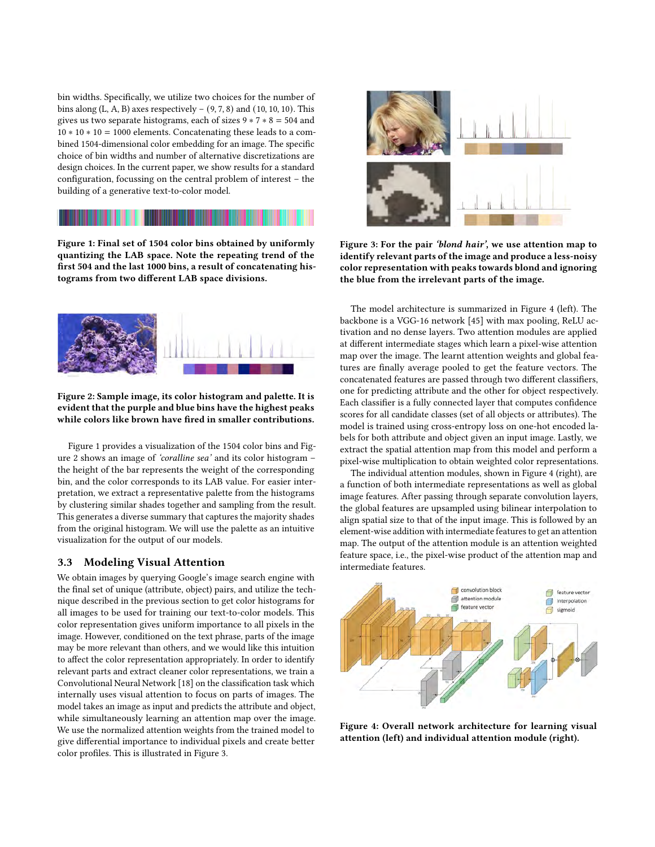bin widths. Specifically, we utilize two choices for the number of bins along  $(L, A, B)$  axes respectively –  $(9, 7, 8)$  and  $(10, 10, 10)$ . This gives us two separate histograms, each of sizes  $9 * 7 * 8 = 504$  and 10 ∗ 10 ∗ 10 = 1000 elements. Concatenating these leads to a combined 1504-dimensional color embedding for an image. The specific choice of bin widths and number of alternative discretizations are design choices. In the current paper, we show results for a standard configuration, focussing on the central problem of interest – the building of a generative text-to-color model.

<span id="page-3-0"></span>Figure 1: Final set of 1504 color bins obtained by uniformly quantizing the LAB space. Note the repeating trend of the first 504 and the last 1000 bins, a result of concatenating histograms from two different LAB space divisions.

<span id="page-3-1"></span>

## Figure 2: Sample image, its color histogram and palette. It is evident that the purple and blue bins have the highest peaks while colors like brown have fired in smaller contributions.

Figure [1](#page-3-0) provides a visualization of the 1504 color bins and Figure [2](#page-3-1) shows an image of 'coralline sea' and its color histogram – the height of the bar represents the weight of the corresponding bin, and the color corresponds to its LAB value. For easier interpretation, we extract a representative palette from the histograms by clustering similar shades together and sampling from the result. This generates a diverse summary that captures the majority shades from the original histogram. We will use the palette as an intuitive visualization for the output of our models.

# 3.3 Modeling Visual Attention

We obtain images by querying Google's image search engine with the final set of unique (attribute, object) pairs, and utilize the technique described in the previous section to get color histograms for all images to be used for training our text-to-color models. This color representation gives uniform importance to all pixels in the image. However, conditioned on the text phrase, parts of the image may be more relevant than others, and we would like this intuition to affect the color representation appropriately. In order to identify relevant parts and extract cleaner color representations, we train a Convolutional Neural Network [\[18\]](#page-9-37) on the classification task which internally uses visual attention to focus on parts of images. The model takes an image as input and predicts the attribute and object, while simultaneously learning an attention map over the image. We use the normalized attention weights from the trained model to give differential importance to individual pixels and create better color profiles. This is illustrated in Figure [3.](#page-3-2)

<span id="page-3-2"></span>

Figure 3: For the pair 'blond hair', we use attention map to identify relevant parts of the image and produce a less-noisy color representation with peaks towards blond and ignoring the blue from the irrelevant parts of the image.

The model architecture is summarized in Figure [4](#page-3-3) (left). The backbone is a VGG-16 network [\[45\]](#page-9-38) with max pooling, ReLU activation and no dense layers. Two attention modules are applied at different intermediate stages which learn a pixel-wise attention map over the image. The learnt attention weights and global features are finally average pooled to get the feature vectors. The concatenated features are passed through two different classifiers, one for predicting attribute and the other for object respectively. Each classifier is a fully connected layer that computes confidence scores for all candidate classes (set of all objects or attributes). The model is trained using cross-entropy loss on one-hot encoded labels for both attribute and object given an input image. Lastly, we extract the spatial attention map from this model and perform a pixel-wise multiplication to obtain weighted color representations.

The individual attention modules, shown in Figure [4](#page-3-3) (right), are a function of both intermediate representations as well as global image features. After passing through separate convolution layers, the global features are upsampled using bilinear interpolation to align spatial size to that of the input image. This is followed by an element-wise addition with intermediate features to get an attention map. The output of the attention module is an attention weighted feature space, i.e., the pixel-wise product of the attention map and intermediate features.

<span id="page-3-3"></span>

Figure 4: Overall network architecture for learning visual attention (left) and individual attention module (right).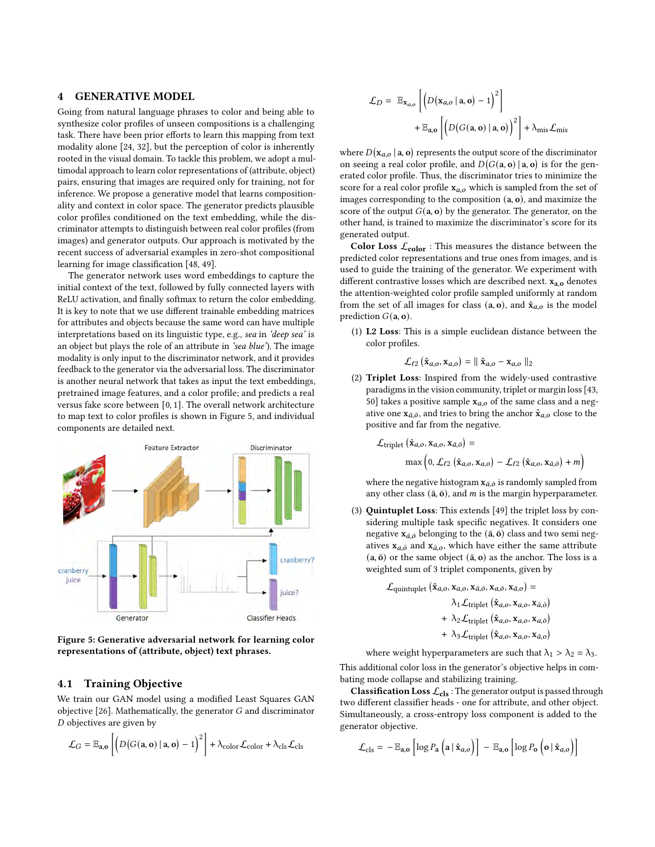# 4 GENERATIVE MODEL

Going from natural language phrases to color and being able to synthesize color profiles of unseen compositions is a challenging task. There have been prior efforts to learn this mapping from text modality alone [\[24,](#page-9-5) [32\]](#page-9-39), but the perception of color is inherently rooted in the visual domain. To tackle this problem, we adopt a multimodal approach to learn color representations of (attribute, object) pairs, ensuring that images are required only for training, not for inference. We propose a generative model that learns compositionality and context in color space. The generator predicts plausible color profiles conditioned on the text embedding, while the discriminator attempts to distinguish between real color profiles (from images) and generator outputs. Our approach is motivated by the recent success of adversarial examples in zero-shot compositional learning for image classification [\[48,](#page-9-40) [49\]](#page-9-30).

The generator network uses word embeddings to capture the initial context of the text, followed by fully connected layers with ReLU activation, and finally softmax to return the color embedding. It is key to note that we use different trainable embedding matrices for attributes and objects because the same word can have multiple interpretations based on its linguistic type, e.g., sea in 'deep sea' is an object but plays the role of an attribute in 'sea blue'). The image modality is only input to the discriminator network, and it provides feedback to the generator via the adversarial loss. The discriminator is another neural network that takes as input the text embeddings, pretrained image features, and a color profile; and predicts a real versus fake score between [0, 1]. The overall network architecture to map text to color profiles is shown in Figure [5,](#page-4-0) and individual components are detailed next.

<span id="page-4-0"></span>

Figure 5: Generative adversarial network for learning color representations of (attribute, object) text phrases.

# 4.1 Training Objective

We train our GAN model using a modified Least Squares GAN objective  $[26]$ . Mathematically, the generator  $G$  and discriminator  $D$  objectives are given by

$$
\mathcal{L}_G = \mathbb{E}_{\mathbf{a},\mathbf{o}} \left[ \left( D \big( G(\mathbf{a}, \mathbf{o}) \mid \mathbf{a}, \mathbf{o} \big) - 1 \right)^2 \right] + \lambda_{\text{color}} \mathcal{L}_{\text{color}} + \lambda_{\text{cls}} \mathcal{L}_{\text{cls}}
$$

$$
\mathcal{L}_D = \mathbb{E}_{\mathbf{x}_{a,o}} \left[ \left( D(\mathbf{x}_{a,o} | \mathbf{a}, \mathbf{o}) - 1 \right)^2 \right] + \mathbb{E}_{\mathbf{a},\mathbf{o}} \left[ \left( D(G(\mathbf{a}, \mathbf{o}) | \mathbf{a}, \mathbf{o}) \right)^2 \right] + \lambda_{\text{mis}} \mathcal{L}_{\text{mis}}
$$

where  $D(\mathbf{x}_{a,o} | \mathbf{a}, \mathbf{o})$  represents the output score of the discriminator on seeing a real color profile, and  $D(G(a, o) | a, o)$  is for the generated color profile. Thus, the discriminator tries to minimize the score for a real color profile  $x_{a,o}$  which is sampled from the set of images corresponding to the composition (a, o), and maximize the score of the output  $G(a, o)$  by the generator. The generator, on the other hand, is trained to maximize the discriminator's score for its generated output.

Color Loss  $\mathcal{L}_{color}$  : This measures the distance between the predicted color representations and true ones from images, and is used to guide the training of the generator. We experiment with different contrastive losses which are described next.  $x_{a,o}$  denotes the attention-weighted color profile sampled uniformly at random from the set of all images for class (a, o), and  $\hat{x}_{a,o}$  is the model prediction  $G(a, o)$ .

(1) L2 Loss: This is a simple euclidean distance between the color profiles.

$$
\mathcal{L}_{\ell 2} (\hat{\mathbf{x}}_{a,o}, \mathbf{x}_{a,o}) = || \hat{\mathbf{x}}_{a,o} - \mathbf{x}_{a,o} ||_2
$$

(2) Triplet Loss: Inspired from the widely-used contrastive paradigms in the vision community, triplet or margin loss [\[43,](#page-9-27) [50\]](#page-9-28) takes a positive sample  $x_{a,o}$  of the same class and a negative one  $x_{\bar{a},\bar{o}}$ , and tries to bring the anchor  $\hat{x}_{a,o}$  close to the positive and far from the negative.

$$
\mathcal{L}_{\text{triplet}} (\hat{\mathbf{x}}_{a,o}, \mathbf{x}_{a,o}, \mathbf{x}_{\bar{a},\bar{o}}) =
$$
  

$$
\max \left(0, \mathcal{L}_{\ell 2} (\hat{\mathbf{x}}_{a,o}, \mathbf{x}_{a,o}) - \mathcal{L}_{\ell 2} (\hat{\mathbf{x}}_{a,o}, \mathbf{x}_{\bar{a},\bar{o}}) + m\right)
$$

where the negative histogram  $\mathbf{x}_{\bar{a},\bar{o}}$  is randomly sampled from any other class  $(\bar{a}, \bar{o})$ , and  $m$  is the margin hyperparameter.

(3) Quintuplet Loss: This extends [\[49\]](#page-9-30) the triplet loss by considering multiple task specific negatives. It considers one negative  $\mathbf{x}_{\bar{a},\bar{0}}$  belonging to the  $(\bar{a}, \bar{b})$  class and two semi negatives  $x_{a,\bar{o}}$  and  $x_{\bar{a},o}$ , which have either the same attribute  $(a, \bar{o})$  or the same object  $(\bar{a}, o)$  as the anchor. The loss is a weighted sum of 3 triplet components, given by

$$
\mathcal{L}_{\text{quintuplet}} (\hat{\mathbf{x}}_{a,o}, \mathbf{x}_{a,o}, \mathbf{x}_{\bar{a},\bar{o}}, \mathbf{x}_{a,\bar{o}}, \mathbf{x}_{\bar{a},o}) =
$$
\n
$$
\lambda_1 \mathcal{L}_{\text{triplet}} (\hat{\mathbf{x}}_{a,o}, \mathbf{x}_{a,o}, \mathbf{x}_{\bar{a},\bar{o}})
$$
\n
$$
+ \lambda_2 \mathcal{L}_{\text{triplet}} (\hat{\mathbf{x}}_{a,o}, \mathbf{x}_{a,o}, \mathbf{x}_{a,\bar{o}})
$$
\n
$$
+ \lambda_3 \mathcal{L}_{\text{triplet}} (\hat{\mathbf{x}}_{a,o}, \mathbf{x}_{a,o}, \mathbf{x}_{\bar{a},o})
$$

where weight hyperparameters are such that  $\lambda_1 > \lambda_2 = \lambda_3$ .

This additional color loss in the generator's objective helps in combating mode collapse and stabilizing training.

**Classification Loss**  $\mathcal{L}_{cls}$ : The generator output is passed through two different classifier heads - one for attribute, and other object. Simultaneously, a cross-entropy loss component is added to the generator objective.

$$
\mathcal{L}_{\text{cls}} = -\mathbb{E}_{\mathbf{a},\mathbf{o}} \left[ \log P_{\mathbf{a}} \left( \mathbf{a} \, | \, \hat{\mathbf{x}}_{a,\mathbf{o}} \right) \right] - \mathbb{E}_{\mathbf{a},\mathbf{o}} \left[ \log P_{\mathbf{o}} \left( \mathbf{o} \, | \, \hat{\mathbf{x}}_{a,\mathbf{o}} \right) \right]
$$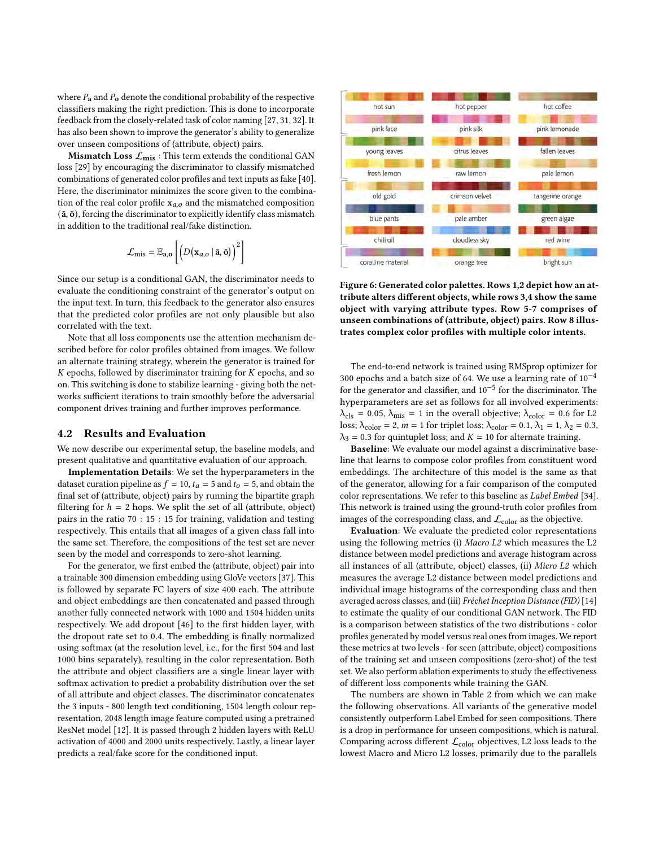where  $P_a$  and  $P_0$  denote the conditional probability of the respective classifiers making the right prediction. This is done to incorporate feedback from the closely-related task of color naming [\[27,](#page-9-42) [31,](#page-9-43) [32\]](#page-9-39). It has also been shown to improve the generator's ability to generalize over unseen compositions of (attribute, object) pairs.

Mismatch Loss  $\mathcal{L}_{\text{mis}}$ : This term extends the conditional GAN loss [\[29\]](#page-9-44) by encouraging the discriminator to classify mismatched combinations of generated color profiles and text inputs as fake [\[40\]](#page-9-45). Here, the discriminator minimizes the score given to the combination of the real color profile  $x_{a,o}$  and the mismatched composition  $(\bar{a}, \bar{b})$ , forcing the discriminator to explicitly identify class mismatch in addition to the traditional real/fake distinction.

$$
\mathcal{L}_{\text{mis}} = \mathbb{E}_{\mathbf{a},\mathbf{o}} \left[ \left( D \left( \mathbf{x}_{a,o} \mid \bar{\mathbf{a}}, \bar{\mathbf{o}} \right) \right)^2 \right]
$$

Since our setup is a conditional GAN, the discriminator needs to evaluate the conditioning constraint of the generator's output on the input text. In turn, this feedback to the generator also ensures that the predicted color profiles are not only plausible but also correlated with the text.

Note that all loss components use the attention mechanism described before for color profiles obtained from images. We follow an alternate training strategy, wherein the generator is trained for  $K$  epochs, followed by discriminator training for  $K$  epochs, and so on. This switching is done to stabilize learning - giving both the networks sufficient iterations to train smoothly before the adversarial component drives training and further improves performance.

#### 4.2 Results and Evaluation

We now describe our experimental setup, the baseline models, and present qualitative and quantitative evaluation of our approach.

Implementation Details: We set the hyperparameters in the dataset curation pipeline as  $f = 10$ ,  $t_a = 5$  and  $t_o = 5$ , and obtain the final set of (attribute, object) pairs by running the bipartite graph filtering for  $h = 2$  hops. We split the set of all (attribute, object) pairs in the ratio 70 : 15 : 15 for training, validation and testing respectively. This entails that all images of a given class fall into the same set. Therefore, the compositions of the test set are never seen by the model and corresponds to zero-shot learning.

For the generator, we first embed the (attribute, object) pair into a trainable 300 dimension embedding using GloVe vectors [\[37\]](#page-9-46). This is followed by separate FC layers of size 400 each. The attribute and object embeddings are then concatenated and passed through another fully connected network with 1000 and 1504 hidden units respectively. We add dropout [\[46\]](#page-9-47) to the first hidden layer, with the dropout rate set to 0.4. The embedding is finally normalized using softmax (at the resolution level, i.e., for the first 504 and last 1000 bins separately), resulting in the color representation. Both the attribute and object classifiers are a single linear layer with softmax activation to predict a probability distribution over the set of all attribute and object classes. The discriminator concatenates the 3 inputs - 800 length text conditioning, 1504 length colour representation, 2048 length image feature computed using a pretrained ResNet model [\[12\]](#page-9-48). It is passed through 2 hidden layers with ReLU activation of 4000 and 2000 units respectively. Lastly, a linear layer predicts a real/fake score for the conditioned input.

<span id="page-5-0"></span>

Figure 6: Generated color palettes. Rows 1,2 depict how an attribute alters different objects, while rows 3,4 show the same object with varying attribute types. Row 5-7 comprises of unseen combinations of (attribute, object) pairs. Row 8 illustrates complex color profiles with multiple color intents.

The end-to-end network is trained using RMSprop optimizer for 300 epochs and a batch size of 64. We use a learning rate of  $10^{-4}$ for the generator and classifier, and 10−<sup>5</sup> for the discriminator. The hyperparameters are set as follows for all involved experiments:  $\lambda_{\text{cls}} = 0.05$ ,  $\lambda_{\text{mis}} = 1$  in the overall objective;  $\lambda_{\text{color}} = 0.6$  for L2 loss;  $\lambda_{\text{color}} = 2$ ,  $m = 1$  for triplet loss;  $\lambda_{\text{color}} = 0.1$ ,  $\lambda_1 = 1$ ,  $\lambda_2 = 0.3$ ,  $\lambda_3 = 0.3$  for quintuplet loss; and  $K = 10$  for alternate training.

Baseline: We evaluate our model against a discriminative baseline that learns to compose color profiles from constituent word embeddings. The architecture of this model is the same as that of the generator, allowing for a fair comparison of the computed color representations. We refer to this baseline as Label Embed [\[34\]](#page-9-19). This network is trained using the ground-truth color profiles from images of the corresponding class, and  $\mathcal{L}_{color}$  as the objective.

Evaluation: We evaluate the predicted color representations using the following metrics (i) Macro L2 which measures the L2 distance between model predictions and average histogram across all instances of all (attribute, object) classes, (ii) Micro L2 which measures the average L2 distance between model predictions and individual image histograms of the corresponding class and then averaged across classes, and (iii) Fréchet Inception Distance (FID) [\[14\]](#page-9-7) to estimate the quality of our conditional GAN network. The FID is a comparison between statistics of the two distributions - color profiles generated by model versus real ones from images. We report these metrics at two levels - for seen (attribute, object) compositions of the training set and unseen compositions (zero-shot) of the test set. We also perform ablation experiments to study the effectiveness of different loss components while training the GAN.

The numbers are shown in Table [2](#page-6-0) from which we can make the following observations. All variants of the generative model consistently outperform Label Embed for seen compositions. There is a drop in performance for unseen compositions, which is natural. Comparing across different  $\mathcal{L}_{color}$  objectives, L2 loss leads to the lowest Macro and Micro L2 losses, primarily due to the parallels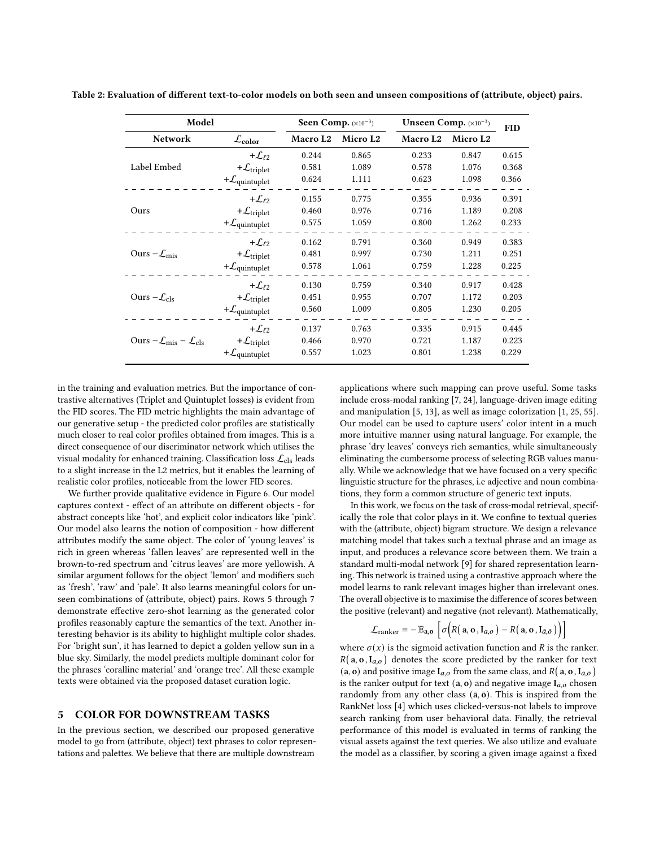| Model                                                       | Seen Comp. $(x10^{-3})$            |                      | Unseen Comp. (×10 <sup>-3</sup> ) | <b>FID</b> |                      |       |
|-------------------------------------------------------------|------------------------------------|----------------------|-----------------------------------|------------|----------------------|-------|
| <b>Network</b>                                              | $\mathcal{L}_{color}$              | Macro L <sub>2</sub> | Micro L <sub>2</sub>              | Macro L2   | Micro L <sub>2</sub> |       |
|                                                             | + $\mathcal{L}_{\ell2}$            | 0.244                | 0.865                             | 0.233      | 0.847                | 0.615 |
| Label Embed                                                 | + $\mathcal{L}_{\text{triplet}}$   | 0.581                | 1.089                             | 0.578      | 1.076                | 0.368 |
|                                                             | $+\mathcal{L}_{\text{quintuplet}}$ | 0.624                | 1.111                             | 0.623      | 1.098                | 0.366 |
|                                                             | $+{\cal L}_{\ell2}$                | 0.155                | 0.775                             | 0.355      | 0.936                | 0.391 |
| Ours                                                        | + $\mathcal{L}_{triplet}$          | 0.460                | 0.976                             | 0.716      | 1.189                | 0.208 |
|                                                             | $+\mathcal{L}_{\text{quintuplet}}$ | 0.575                | 1.059                             | 0.800      | 1.262                | 0.233 |
|                                                             | + $\mathcal{L}_{\ell2}$            | 0.162                | 0.791                             | 0.360      | 0.949                | 0.383 |
| Ours $-\mathcal{L}_{\text{mis}}$                            | + $\mathcal{L}_{triplet}$          | 0.481                | 0.997                             | 0.730      | 1.211                | 0.251 |
|                                                             | $+\mathcal{L}_{\text{quintuplet}}$ | 0.578                | 1.061                             | 0.759      | 1.228                | 0.225 |
|                                                             | + $\mathcal{L}_{\ell 2}$           | 0.130                | 0.759                             | 0.340      | 0.917                | 0.428 |
| Ours $-\mathcal{L}_{cls}$                                   | + $\mathcal{L}_{triplet}$          | 0.451                | 0.955                             | 0.707      | 1.172                | 0.203 |
|                                                             | $+\mathcal{L}_{\text{quintuplet}}$ | 0.560                | 1.009                             | 0.805      | 1.230                | 0.205 |
|                                                             | + $\mathcal{L}_{\ell2}$            | 0.137                | 0.763                             | 0.335      | 0.915                | 0.445 |
| Ours $-\mathcal{L}_{\text{mis}} - \mathcal{L}_{\text{cls}}$ | + $\mathcal{L}_{\text{triplet}}$   | 0.466                | 0.970                             | 0.721      | 1.187                | 0.223 |
|                                                             | $+\mathcal{L}_{\text{quintuplet}}$ | 0.557                | 1.023                             | 0.801      | 1.238                | 0.229 |

<span id="page-6-0"></span>Table 2: Evaluation of different text-to-color models on both seen and unseen compositions of (attribute, object) pairs.

in the training and evaluation metrics. But the importance of contrastive alternatives (Triplet and Quintuplet losses) is evident from the FID scores. The FID metric highlights the main advantage of our generative setup - the predicted color profiles are statistically much closer to real color profiles obtained from images. This is a direct consequence of our discriminator network which utilises the visual modality for enhanced training. Classification loss  $\mathcal{L}_{cls}$  leads to a slight increase in the L2 metrics, but it enables the learning of realistic color profiles, noticeable from the lower FID scores.

We further provide qualitative evidence in Figure [6.](#page-5-0) Our model captures context - effect of an attribute on different objects - for abstract concepts like 'hot', and explicit color indicators like 'pink'. Our model also learns the notion of composition - how different attributes modify the same object. The color of 'young leaves' is rich in green whereas 'fallen leaves' are represented well in the brown-to-red spectrum and 'citrus leaves' are more yellowish. A similar argument follows for the object 'lemon' and modifiers such as 'fresh', 'raw' and 'pale'. It also learns meaningful colors for unseen combinations of (attribute, object) pairs. Rows 5 through 7 demonstrate effective zero-shot learning as the generated color profiles reasonably capture the semantics of the text. Another interesting behavior is its ability to highlight multiple color shades. For 'bright sun', it has learned to depict a golden yellow sun in a blue sky. Similarly, the model predicts multiple dominant color for the phrases 'coralline material' and 'orange tree'. All these example texts were obtained via the proposed dataset curation logic.

#### 5 COLOR FOR DOWNSTREAM TASKS

In the previous section, we described our proposed generative model to go from (attribute, object) text phrases to color representations and palettes. We believe that there are multiple downstream

applications where such mapping can prove useful. Some tasks include cross-modal ranking [\[7,](#page-9-49) [24\]](#page-9-5), language-driven image editing and manipulation [\[5,](#page-9-50) [13\]](#page-9-51), as well as image colorization [\[1,](#page-9-17) [25,](#page-9-52) [55\]](#page-9-53). Our model can be used to capture users' color intent in a much more intuitive manner using natural language. For example, the phrase 'dry leaves' conveys rich semantics, while simultaneously eliminating the cumbersome process of selecting RGB values manually. While we acknowledge that we have focused on a very specific linguistic structure for the phrases, i.e adjective and noun combinations, they form a common structure of generic text inputs.

In this work, we focus on the task of cross-modal retrieval, specifically the role that color plays in it. We confine to textual queries with the (attribute, object) bigram structure. We design a relevance matching model that takes such a textual phrase and an image as input, and produces a relevance score between them. We train a standard multi-modal network [\[9\]](#page-9-54) for shared representation learning. This network is trained using a contrastive approach where the model learns to rank relevant images higher than irrelevant ones. The overall objective is to maximise the difference of scores between the positive (relevant) and negative (not relevant). Mathematically,

$$
\mathcal{L}_{\text{ranker}} = -\mathbb{E}_{\mathbf{a},\mathbf{o}} \left[ \sigma \Big( R(\mathbf{a}, \mathbf{o}, \mathbf{I}_{a,\mathbf{o}}) - R(\mathbf{a}, \mathbf{o}, \mathbf{I}_{\bar{a},\bar{\mathbf{o}}}) \Big) \right]
$$

where  $\sigma(x)$  is the sigmoid activation function and  $R$  is the ranker.  $R(a, o, I_{a, o})$  denotes the score predicted by the ranker for text (a, o) and positive image  $I_{a,o}$  from the same class, and  $R$  (a, o,  $I_{\bar{a},\bar{o}}$ ) is the ranker output for text  $(a, o)$  and negative image  $I_{\bar{a}, \bar{o}}$  chosen randomly from any other class  $(\bar{a}, \bar{b})$ . This is inspired from the RankNet loss [\[4\]](#page-9-55) which uses clicked-versus-not labels to improve search ranking from user behavioral data. Finally, the retrieval performance of this model is evaluated in terms of ranking the visual assets against the text queries. We also utilize and evaluate the model as a classifier, by scoring a given image against a fixed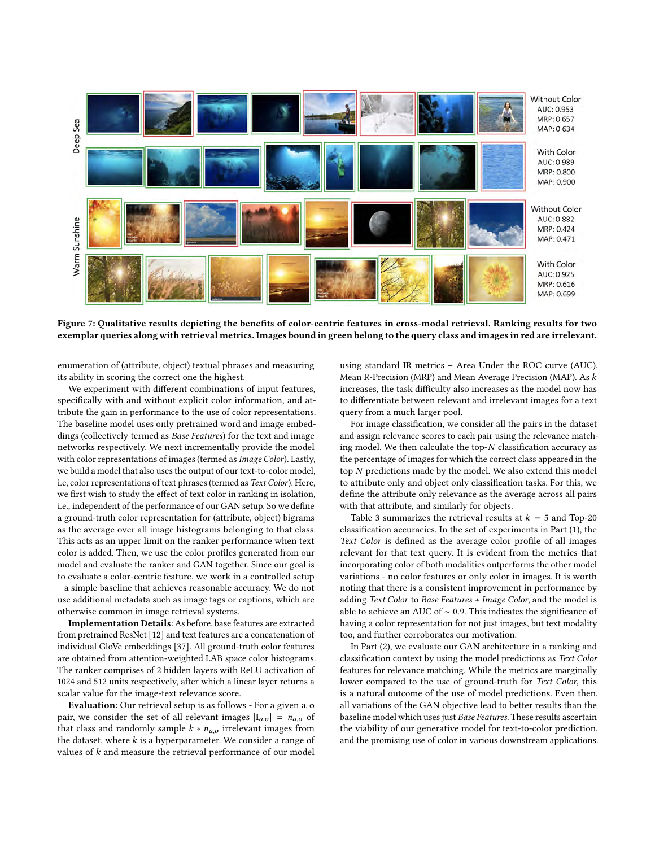<span id="page-7-0"></span>

Figure 7: Qualitative results depicting the benefits of color-centric features in cross-modal retrieval. Ranking results for two exemplar queries along with retrieval metrics. Images bound in green belong to the query class and images in red are irrelevant.

enumeration of (attribute, object) textual phrases and measuring its ability in scoring the correct one the highest.

We experiment with different combinations of input features, specifically with and without explicit color information, and attribute the gain in performance to the use of color representations. The baseline model uses only pretrained word and image embeddings (collectively termed as Base Features) for the text and image networks respectively. We next incrementally provide the model with color representations of images (termed as Image Color). Lastly, we build a model that also uses the output of our text-to-color model, i.e, color representations of text phrases (termed as Text Color). Here, we first wish to study the effect of text color in ranking in isolation, i.e., independent of the performance of our GAN setup. So we define a ground-truth color representation for (attribute, object) bigrams as the average over all image histograms belonging to that class. This acts as an upper limit on the ranker performance when text color is added. Then, we use the color profiles generated from our model and evaluate the ranker and GAN together. Since our goal is to evaluate a color-centric feature, we work in a controlled setup – a simple baseline that achieves reasonable accuracy. We do not use additional metadata such as image tags or captions, which are otherwise common in image retrieval systems.

Implementation Details: As before, base features are extracted from pretrained ResNet [\[12\]](#page-9-48) and text features are a concatenation of individual GloVe embeddings [\[37\]](#page-9-46). All ground-truth color features are obtained from attention-weighted LAB space color histograms. The ranker comprises of 2 hidden layers with ReLU activation of 1024 and 512 units respectively, after which a linear layer returns a scalar value for the image-text relevance score.

Evaluation: Our retrieval setup is as follows - For a given a, o pair, we consider the set of all relevant images  $|I_{a,o}| = n_{a,o}$  of that class and randomly sample  $k * n_{a,o}$  irrelevant images from the dataset, where  $k$  is a hyperparameter. We consider a range of values of  $k$  and measure the retrieval performance of our model

using standard IR metrics – Area Under the ROC curve (AUC), Mean R-Precision (MRP) and Mean Average Precision (MAP). As increases, the task difficulty also increases as the model now has to differentiate between relevant and irrelevant images for a text query from a much larger pool.

For image classification, we consider all the pairs in the dataset and assign relevance scores to each pair using the relevance matching model. We then calculate the top- $N$  classification accuracy as the percentage of images for which the correct class appeared in the top  $N$  predictions made by the model. We also extend this model to attribute only and object only classification tasks. For this, we define the attribute only relevance as the average across all pairs with that attribute, and similarly for objects.

Table [3](#page-8-0) summarizes the retrieval results at  $k = 5$  and Top-20 classification accuracies. In the set of experiments in Part (1), the Text Color is defined as the average color profile of all images relevant for that text query. It is evident from the metrics that incorporating color of both modalities outperforms the other model variations - no color features or only color in images. It is worth noting that there is a consistent improvement in performance by adding Text Color to Base Features + Image Color, and the model is able to achieve an AUC of ∼ 0.9. This indicates the significance of having a color representation for not just images, but text modality too, and further corroborates our motivation.

In Part (2), we evaluate our GAN architecture in a ranking and classification context by using the model predictions as Text Color features for relevance matching. While the metrics are marginally lower compared to the use of ground-truth for Text Color, this is a natural outcome of the use of model predictions. Even then, all variations of the GAN objective lead to better results than the baseline model which uses just Base Features. These results ascertain the viability of our generative model for text-to-color prediction, and the promising use of color in various downstream applications.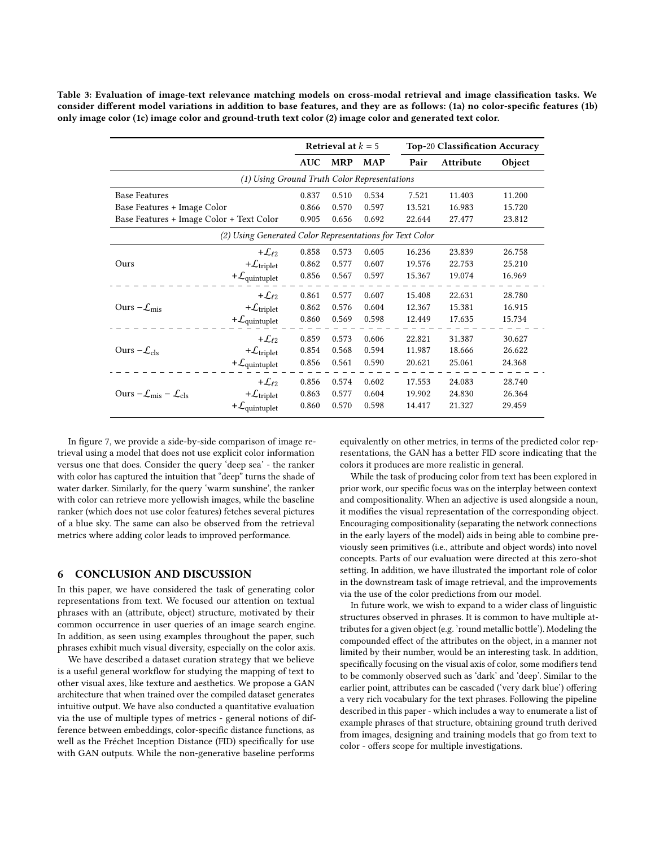<span id="page-8-0"></span>Table 3: Evaluation of image-text relevance matching models on cross-modal retrieval and image classification tasks. We consider different model variations in addition to base features, and they are as follows: (1a) no color-specific features (1b) only image color (1c) image color and ground-truth text color (2) image color and generated text color.

|                                                          |                                     | Retrieval at $k = 5$ |            |            |        | <b>Top-20 Classification Accuracy</b> |        |  |  |  |
|----------------------------------------------------------|-------------------------------------|----------------------|------------|------------|--------|---------------------------------------|--------|--|--|--|
|                                                          |                                     | <b>AUC</b>           | <b>MRP</b> | <b>MAP</b> | Pair   | Attribute                             | Object |  |  |  |
| (1) Using Ground Truth Color Representations             |                                     |                      |            |            |        |                                       |        |  |  |  |
| <b>Base Features</b>                                     |                                     | 0.837                | 0.510      | 0.534      | 7.521  | 11.403                                | 11.200 |  |  |  |
| Base Features + Image Color                              |                                     |                      | 0.570      | 0.597      | 13.521 | 16.983                                | 15.720 |  |  |  |
| Base Features + Image Color + Text Color                 |                                     | 0.905                | 0.656      | 0.692      | 22.644 | 27.477                                | 23.812 |  |  |  |
| (2) Using Generated Color Representations for Text Color |                                     |                      |            |            |        |                                       |        |  |  |  |
|                                                          | + $\mathcal{L}_{\ell 2}$            | 0.858                | 0.573      | 0.605      | 16.236 | 23.839                                | 26.758 |  |  |  |
| Ours                                                     | + $\mathcal{L}_{triplet}$           | 0.862                | 0.577      | 0.607      | 19.576 | 22.753                                | 25.210 |  |  |  |
|                                                          | $+\mathcal{L}_{\text{quintuplet}}$  | 0.856                | 0.567      | 0.597      | 15.367 | 19.074                                | 16.969 |  |  |  |
|                                                          | + $\mathcal{L}_{\ell2}$             | 0.861                | 0.577      | 0.607      | 15.408 | 22.631                                | 28.780 |  |  |  |
| Ours $-\mathcal{L}_{\text{mis}}$                         | $+ \mathcal{L}_{triplet}$           | 0.862                | 0.576      | 0.604      | 12.367 | 15.381                                | 16.915 |  |  |  |
|                                                          | $+\mathcal{L}_{\text{quintuplet}}$  | 0.860                | 0.569      | 0.598      | 12.449 | 17.635                                | 15.734 |  |  |  |
|                                                          | $+L_{\ell 2}$                       | 0.859                | 0.573      | 0.606      | 22.821 | 31.387                                | 30.627 |  |  |  |
| Ours $-\mathcal{L}_{cls}$                                | $+ \mathcal{L}_{triplet}$           | 0.854                | 0.568      | 0.594      | 11.987 | 18.666                                | 26.622 |  |  |  |
|                                                          | $+\mathcal{L}_{\text{quintuplet}}$  | 0.856                | 0.561      | 0.590      | 20.621 | 25.061                                | 24.368 |  |  |  |
|                                                          | + $\mathcal{L}_{\ell 2}$            | 0.856                | 0.574      | 0.602      | 17.553 | 24.083                                | 28.740 |  |  |  |
| Ours $-\mathcal{L}_{mis} - \mathcal{L}_{cls}$            | $+\mathcal{L}_{triplet}$            | 0.863                | 0.577      | 0.604      | 19.902 | 24.830                                | 26.364 |  |  |  |
|                                                          | + $\mathcal{L}_{\text{quintuplet}}$ | 0.860                | 0.570      | 0.598      | 14.417 | 21.327                                | 29.459 |  |  |  |

In figure [7,](#page-7-0) we provide a side-by-side comparison of image retrieval using a model that does not use explicit color information versus one that does. Consider the query 'deep sea' - the ranker with color has captured the intuition that "deep" turns the shade of water darker. Similarly, for the query 'warm sunshine', the ranker with color can retrieve more yellowish images, while the baseline ranker (which does not use color features) fetches several pictures of a blue sky. The same can also be observed from the retrieval metrics where adding color leads to improved performance.

# 6 CONCLUSION AND DISCUSSION

In this paper, we have considered the task of generating color representations from text. We focused our attention on textual phrases with an (attribute, object) structure, motivated by their common occurrence in user queries of an image search engine. In addition, as seen using examples throughout the paper, such phrases exhibit much visual diversity, especially on the color axis.

We have described a dataset curation strategy that we believe is a useful general workflow for studying the mapping of text to other visual axes, like texture and aesthetics. We propose a GAN architecture that when trained over the compiled dataset generates intuitive output. We have also conducted a quantitative evaluation via the use of multiple types of metrics - general notions of difference between embeddings, color-specific distance functions, as well as the Fréchet Inception Distance (FID) specifically for use with GAN outputs. While the non-generative baseline performs equivalently on other metrics, in terms of the predicted color representations, the GAN has a better FID score indicating that the colors it produces are more realistic in general.

While the task of producing color from text has been explored in prior work, our specific focus was on the interplay between context and compositionality. When an adjective is used alongside a noun, it modifies the visual representation of the corresponding object. Encouraging compositionality (separating the network connections in the early layers of the model) aids in being able to combine previously seen primitives (i.e., attribute and object words) into novel concepts. Parts of our evaluation were directed at this zero-shot setting. In addition, we have illustrated the important role of color in the downstream task of image retrieval, and the improvements via the use of the color predictions from our model.

In future work, we wish to expand to a wider class of linguistic structures observed in phrases. It is common to have multiple attributes for a given object (e.g. 'round metallic bottle'). Modeling the compounded effect of the attributes on the object, in a manner not limited by their number, would be an interesting task. In addition, specifically focusing on the visual axis of color, some modifiers tend to be commonly observed such as 'dark' and 'deep'. Similar to the earlier point, attributes can be cascaded ('very dark blue') offering a very rich vocabulary for the text phrases. Following the pipeline described in this paper - which includes a way to enumerate a list of example phrases of that structure, obtaining ground truth derived from images, designing and training models that go from text to color - offers scope for multiple investigations.